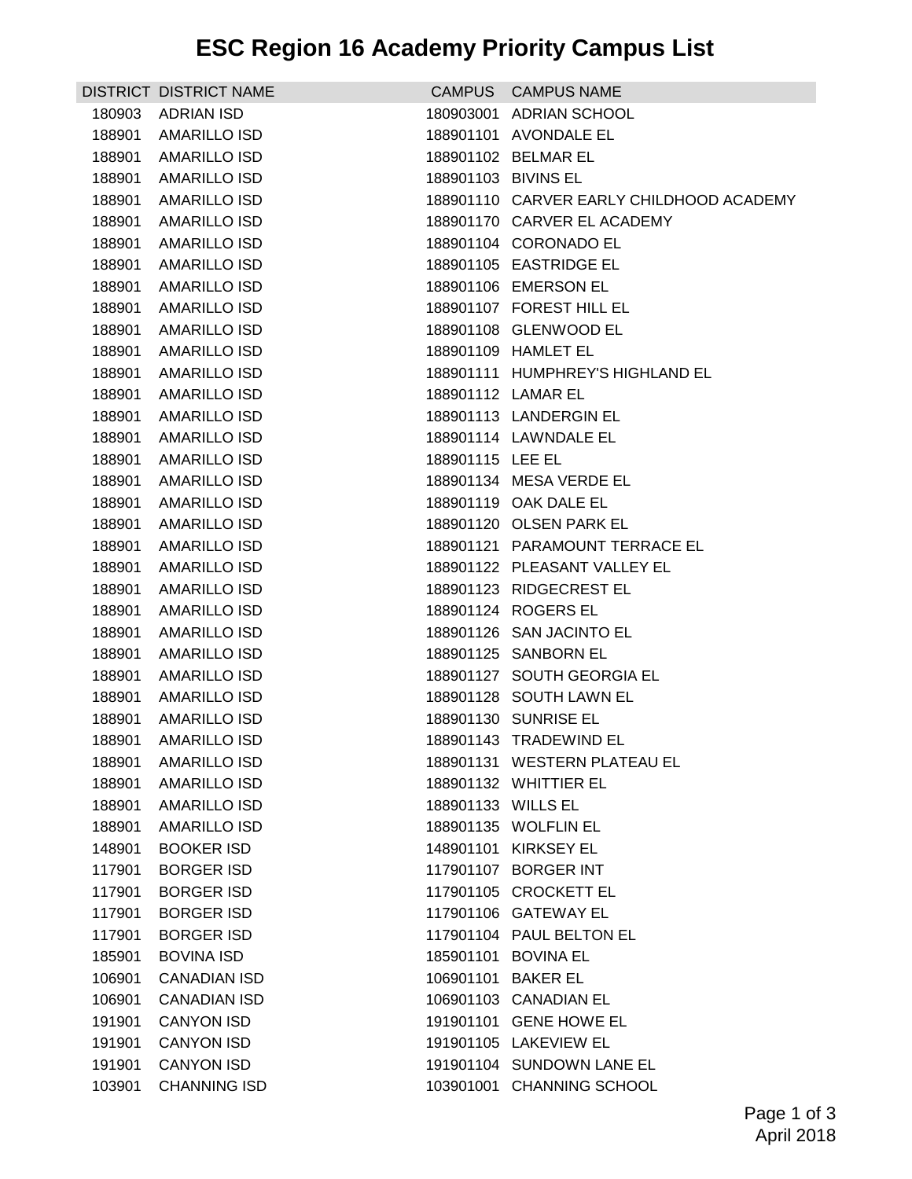## **ESC Region 16 Academy Priority Campus List**

|        | DISTRICT DISTRICT NAME |                     | CAMPUS CAMPUS NAME                       |
|--------|------------------------|---------------------|------------------------------------------|
| 180903 | <b>ADRIAN ISD</b>      |                     | 180903001 ADRIAN SCHOOL                  |
| 188901 | <b>AMARILLO ISD</b>    |                     | 188901101 AVONDALE EL                    |
| 188901 | AMARILLO ISD           |                     | 188901102 BELMAR EL                      |
| 188901 | AMARILLO ISD           | 188901103 BIVINS EL |                                          |
| 188901 | AMARILLO ISD           |                     | 188901110 CARVER EARLY CHILDHOOD ACADEMY |
| 188901 | <b>AMARILLO ISD</b>    |                     | 188901170 CARVER EL ACADEMY              |
| 188901 | <b>AMARILLO ISD</b>    |                     | 188901104 CORONADO EL                    |
| 188901 | <b>AMARILLO ISD</b>    |                     | 188901105 EASTRIDGE EL                   |
| 188901 | AMARILLO ISD           |                     | 188901106 EMERSON EL                     |
| 188901 | AMARILLO ISD           |                     | 188901107 FOREST HILL EL                 |
| 188901 | <b>AMARILLO ISD</b>    |                     | 188901108 GLENWOOD EL                    |
| 188901 | <b>AMARILLO ISD</b>    |                     | 188901109 HAMLET EL                      |
| 188901 | AMARILLO ISD           |                     | 188901111 HUMPHREY'S HIGHLAND EL         |
| 188901 | <b>AMARILLO ISD</b>    |                     | 188901112 LAMAR EL                       |
| 188901 | <b>AMARILLO ISD</b>    |                     | 188901113 LANDERGIN EL                   |
| 188901 | AMARILLO ISD           |                     | 188901114 LAWNDALE EL                    |
| 188901 | <b>AMARILLO ISD</b>    | 188901115 LEE EL    |                                          |
| 188901 | <b>AMARILLO ISD</b>    |                     | 188901134 MESA VERDE EL                  |
| 188901 | <b>AMARILLO ISD</b>    |                     | 188901119 OAK DALE EL                    |
| 188901 | AMARILLO ISD           |                     | 188901120 OLSEN PARK EL                  |
| 188901 | <b>AMARILLO ISD</b>    |                     | 188901121 PARAMOUNT TERRACE EL           |
| 188901 | AMARILLO ISD           |                     | 188901122 PLEASANT VALLEY EL             |
| 188901 | <b>AMARILLO ISD</b>    |                     | 188901123 RIDGECREST EL                  |
| 188901 | AMARILLO ISD           |                     | 188901124 ROGERS EL                      |
| 188901 | <b>AMARILLO ISD</b>    |                     | 188901126 SAN JACINTO EL                 |
| 188901 | <b>AMARILLO ISD</b>    |                     | 188901125 SANBORN EL                     |
| 188901 | <b>AMARILLO ISD</b>    |                     | 188901127 SOUTH GEORGIA EL               |
| 188901 | AMARILLO ISD           |                     | 188901128 SOUTH LAWN EL                  |
| 188901 | <b>AMARILLO ISD</b>    |                     | 188901130 SUNRISE EL                     |
|        | 188901 AMARILLO ISD    |                     | 188901143 TRADEWIND EL                   |
| 188901 | AMARILLO ISD           |                     | 188901131 WESTERN PLATEAU EL             |
| 188901 | <b>AMARILLO ISD</b>    |                     | 188901132 WHITTIER EL                    |
| 188901 | <b>AMARILLO ISD</b>    | 188901133 WILLS EL  |                                          |
| 188901 | <b>AMARILLO ISD</b>    |                     | 188901135 WOLFLIN EL                     |
| 148901 | <b>BOOKER ISD</b>      |                     | 148901101 KIRKSEY EL                     |
| 117901 | <b>BORGER ISD</b>      |                     | 117901107 BORGER INT                     |
| 117901 | <b>BORGER ISD</b>      |                     | 117901105 CROCKETT EL                    |
| 117901 | <b>BORGER ISD</b>      |                     | 117901106 GATEWAY EL                     |
| 117901 | <b>BORGER ISD</b>      |                     | 117901104 PAUL BELTON EL                 |
| 185901 | <b>BOVINA ISD</b>      |                     | 185901101 BOVINA EL                      |
| 106901 | CANADIAN ISD           |                     | 106901101 BAKER EL                       |
| 106901 | <b>CANADIAN ISD</b>    |                     | 106901103 CANADIAN EL                    |
| 191901 | <b>CANYON ISD</b>      |                     | 191901101 GENE HOWE EL                   |
| 191901 | <b>CANYON ISD</b>      |                     | 191901105 LAKEVIEW EL                    |
| 191901 | <b>CANYON ISD</b>      |                     | 191901104 SUNDOWN LANE EL                |
| 103901 | <b>CHANNING ISD</b>    |                     | 103901001 CHANNING SCHOOL                |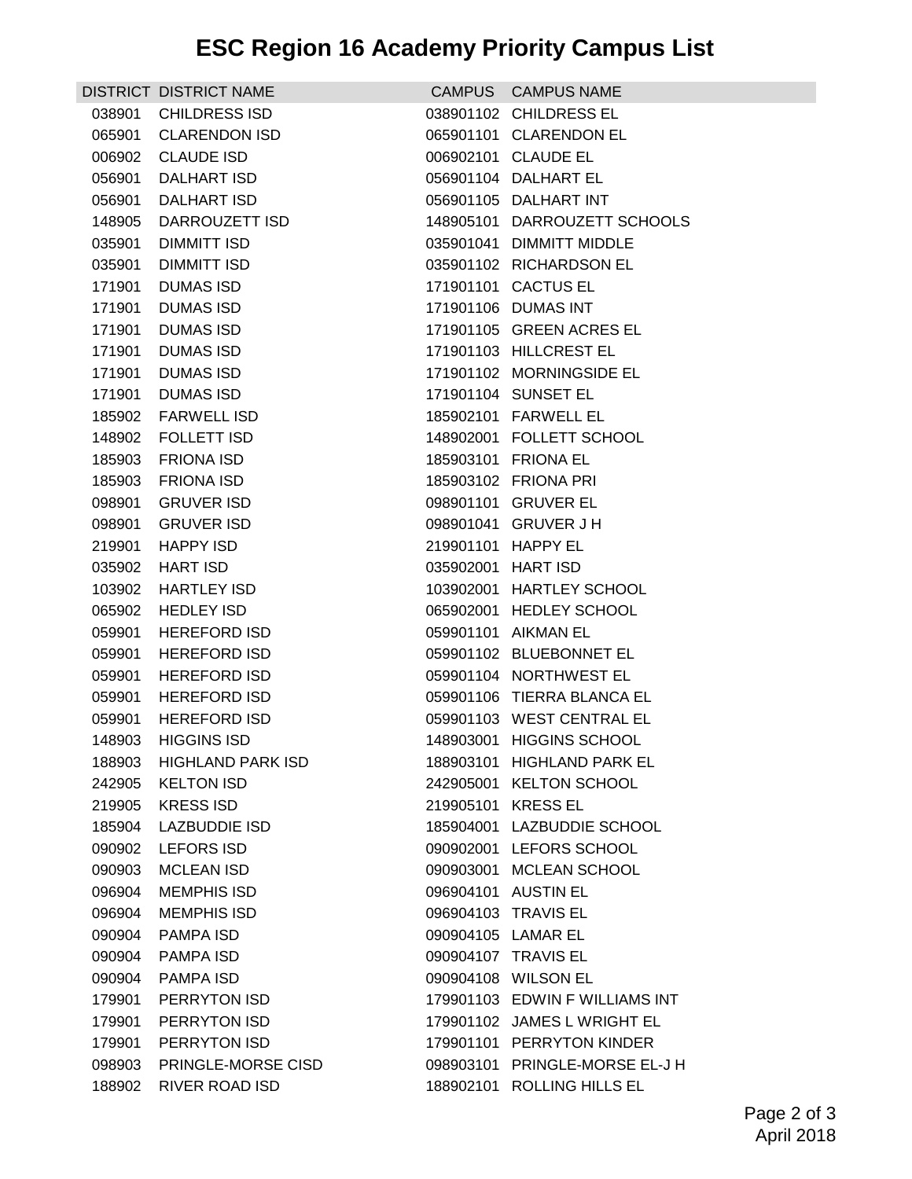|                  | DISTRICT DISTRICT NAME                  |                    | CAMPUS CAMPUS NAME                                  |
|------------------|-----------------------------------------|--------------------|-----------------------------------------------------|
| 038901           | <b>CHILDRESS ISD</b>                    |                    | 038901102 CHILDRESS EL                              |
| 065901           | <b>CLARENDON ISD</b>                    |                    | 065901101 CLARENDON EL                              |
| 006902           | <b>CLAUDE ISD</b>                       |                    | 006902101 CLAUDE EL                                 |
| 056901           | DALHART ISD                             |                    | 056901104 DALHART EL                                |
| 056901           | DALHART ISD                             |                    | 056901105 DALHART INT                               |
| 148905           | DARROUZETT ISD                          |                    | 148905101 DARROUZETT SCHOOLS                        |
| 035901           | DIMMITT ISD                             |                    | 035901041 DIMMITT MIDDLE                            |
| 035901           | <b>DIMMITT ISD</b>                      |                    | 035901102 RICHARDSON EL                             |
| 171901           | DUMAS ISD                               |                    | 171901101 CACTUS EL                                 |
| 171901           | DUMAS ISD                               |                    | 171901106 DUMAS INT                                 |
| 171901           | <b>DUMAS ISD</b>                        |                    | 171901105 GREEN ACRES EL                            |
| 171901           | <b>DUMAS ISD</b>                        |                    | 171901103 HILLCREST EL                              |
| 171901           | <b>DUMAS ISD</b>                        |                    | 171901102 MORNINGSIDE EL                            |
| 171901           | <b>DUMAS ISD</b>                        |                    | 171901104 SUNSET EL                                 |
| 185902           | <b>FARWELL ISD</b>                      |                    | 185902101 FARWELL EL                                |
| 148902           | <b>FOLLETT ISD</b>                      |                    | 148902001 FOLLETT SCHOOL                            |
| 185903           | <b>FRIONA ISD</b>                       |                    | 185903101 FRIONA EL                                 |
| 185903           | <b>FRIONA ISD</b>                       |                    | 185903102 FRIONA PRI                                |
| 098901           | <b>GRUVER ISD</b>                       |                    | 098901101 GRUVER EL                                 |
| 098901           | <b>GRUVER ISD</b>                       |                    | 098901041 GRUVER J H                                |
| 219901           | <b>HAPPY ISD</b>                        |                    | 219901101 HAPPY EL                                  |
| 035902           | <b>HART ISD</b>                         | 035902001 HART ISD |                                                     |
| 103902<br>065902 | <b>HARTLEY ISD</b><br><b>HEDLEY ISD</b> |                    | 103902001 HARTLEY SCHOOL<br>065902001 HEDLEY SCHOOL |
| 059901           | <b>HEREFORD ISD</b>                     |                    | 059901101 AIKMAN EL                                 |
| 059901           | <b>HEREFORD ISD</b>                     |                    | 059901102 BLUEBONNET EL                             |
| 059901           | <b>HEREFORD ISD</b>                     |                    | 059901104 NORTHWEST EL                              |
| 059901           | <b>HEREFORD ISD</b>                     |                    | 059901106 TIERRA BLANCA EL                          |
| 059901           | <b>HEREFORD ISD</b>                     |                    | 059901103 WEST CENTRAL EL                           |
| 148903           | <b>HIGGINS ISD</b>                      |                    | 148903001 HIGGINS SCHOOL                            |
| 188903           | HIGHLAND PARK ISD                       |                    | 188903101 HIGHLAND PARK EL                          |
| 242905           | <b>KELTON ISD</b>                       |                    | 242905001 KELTON SCHOOL                             |
| 219905           | <b>KRESS ISD</b>                        |                    | 219905101 KRESS EL                                  |
| 185904           | <b>LAZBUDDIE ISD</b>                    |                    | 185904001 LAZBUDDIE SCHOOL                          |
| 090902           | <b>LEFORS ISD</b>                       |                    | 090902001 LEFORS SCHOOL                             |
| 090903           | <b>MCLEAN ISD</b>                       |                    | 090903001 MCLEAN SCHOOL                             |
| 096904           | <b>MEMPHIS ISD</b>                      |                    | 096904101 AUSTIN EL                                 |
| 096904           | <b>MEMPHIS ISD</b>                      |                    | 096904103 TRAVIS EL                                 |
| 090904           | <b>PAMPA ISD</b>                        |                    | 090904105 LAMAR EL                                  |
| 090904           | PAMPA ISD                               |                    | 090904107 TRAVIS EL                                 |
| 090904           | PAMPA ISD                               |                    | 090904108 WILSON EL                                 |
| 179901           | PERRYTON ISD                            |                    | 179901103 EDWIN F WILLIAMS INT                      |
| 179901           | PERRYTON ISD                            |                    | 179901102 JAMES L WRIGHT EL                         |
| 179901           | PERRYTON ISD                            |                    | 179901101 PERRYTON KINDER                           |
| 098903           | PRINGLE-MORSE CISD                      |                    | 098903101 PRINGLE-MORSE EL-J H                      |
| 188902           | <b>RIVER ROAD ISD</b>                   |                    | 188902101 ROLLING HILLS EL                          |